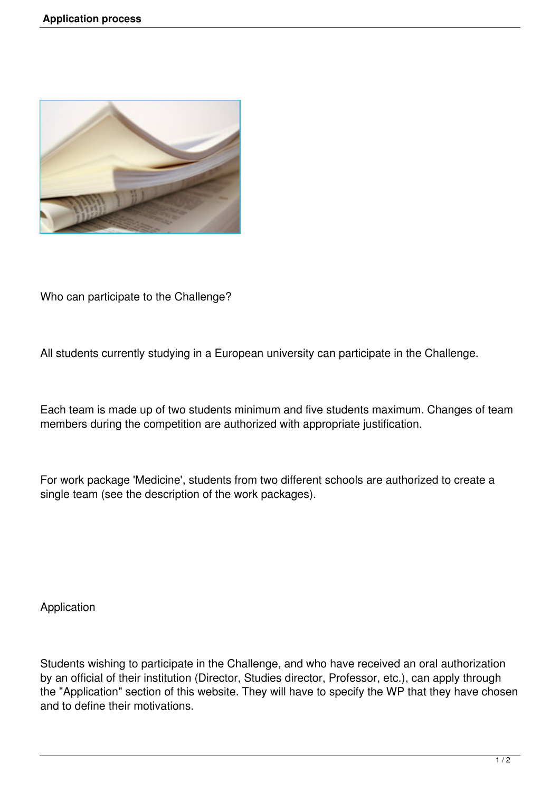

Who can participate to the Challenge?

All students currently studying in a European university can participate in the Challenge.

Each team is made up of two students minimum and five students maximum. Changes of team members during the competition are authorized with appropriate justification.

For work package 'Medicine', students from two different schools are authorized to create a single team (see the description of the work packages).

Application

Students wishing to participate in the Challenge, and who have received an oral authorization by an official of their institution (Director, Studies director, Professor, etc.), can apply through the "Application" section of this website. They will have to specify the WP that they have chosen and to define their motivations.